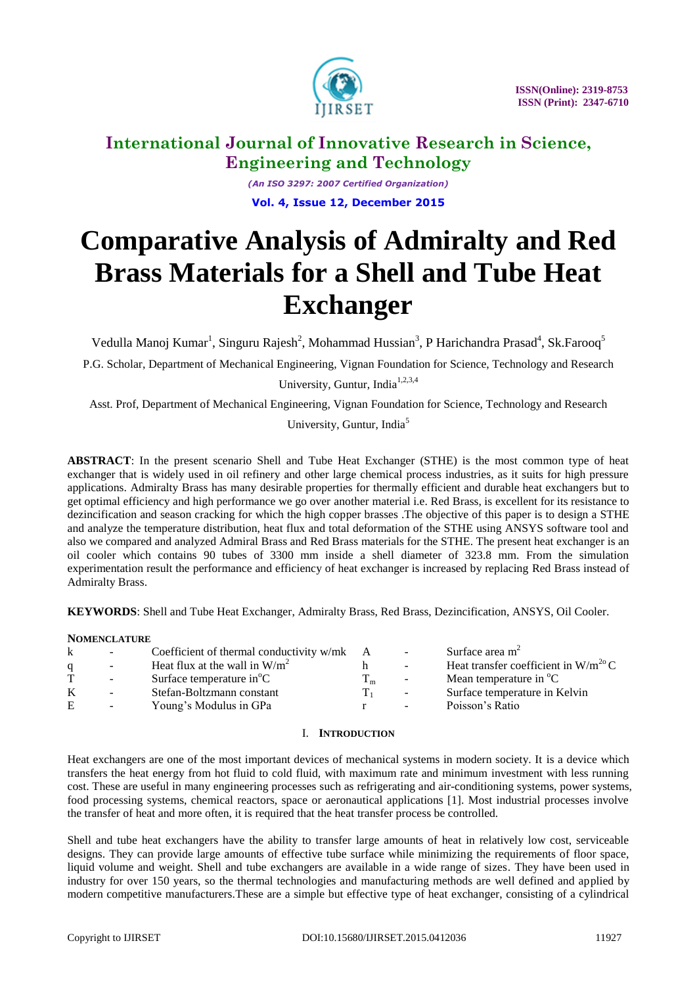

*(An ISO 3297: 2007 Certified Organization)* **Vol. 4, Issue 12, December 2015**

# **Comparative Analysis of Admiralty and Red Brass Materials for a Shell and Tube Heat Exchanger**

Vedulla Manoj Kumar<sup>1</sup>, Singuru Rajesh<sup>2</sup>, Mohammad Hussian<sup>3</sup>, P Harichandra Prasad<sup>4</sup>, Sk.Farooq<sup>5</sup>

P.G. Scholar, Department of Mechanical Engineering, Vignan Foundation for Science, Technology and Research University, Guntur, India<sup>1,2,3,4</sup>

Asst. Prof, Department of Mechanical Engineering, Vignan Foundation for Science, Technology and Research

University, Guntur, India<sup>5</sup>

**ABSTRACT**: In the present scenario Shell and Tube Heat Exchanger (STHE) is the most common type of heat exchanger that is widely used in oil refinery and other large chemical process industries, as it suits for high pressure applications. Admiralty Brass has many desirable properties for thermally efficient and durable heat exchangers but to get optimal efficiency and high performance we go over another material i.e. Red Brass, is excellent for its resistance to dezincification and season cracking for which the high copper brasses .The objective of this paper is to design a STHE and analyze the temperature distribution, heat flux and total deformation of the STHE using ANSYS software tool and also we compared and analyzed Admiral Brass and Red Brass materials for the STHE. The present heat exchanger is an oil cooler which contains 90 tubes of 3300 mm inside a shell diameter of 323.8 mm. From the simulation experimentation result the performance and efficiency of heat exchanger is increased by replacing Red Brass instead of Admiralty Brass.

**KEYWORDS**: Shell and Tube Heat Exchanger, Admiralty Brass, Red Brass, Dezincification, ANSYS, Oil Cooler.

## **NOMENCLATURE**

| k | $\sim$ | Coefficient of thermal conductivity $w/mk$ A |                | $\sim$                   | Surface area $m2$                        |
|---|--------|----------------------------------------------|----------------|--------------------------|------------------------------------------|
|   | $\sim$ | Heat flux at the wall in $W/m^2$             |                | $\sim$                   | Heat transfer coefficient in $W/m^{20}C$ |
| T | $\sim$ | Surface temperature $in^{\circ}C$            | 1 <sub>m</sub> | $\overline{\phantom{a}}$ | Mean temperature in <sup>o</sup> C       |
| K |        | Stefan-Boltzmann constant                    |                | $\sim$                   | Surface temperature in Kelvin            |
| E | $\sim$ | Young's Modulus in GPa                       |                | $\sim$                   | Poisson's Ratio                          |

# I. **INTRODUCTION**

Heat exchangers are one of the most important devices of mechanical systems in modern society. It is a device which transfers the heat energy from hot fluid to cold fluid, with maximum rate and minimum investment with less running cost. These are useful in many engineering processes such as refrigerating and air-conditioning systems, power systems, food processing systems, chemical reactors, space or aeronautical applications [1]. Most industrial processes involve the transfer of heat and more often, it is required that the heat transfer process be controlled.

Shell and tube heat exchangers have the ability to transfer large amounts of heat in relatively low cost, serviceable designs. They can provide large amounts of effective tube surface while minimizing the requirements of floor space, liquid volume and weight. Shell and tube exchangers are available in a wide range of sizes. They have been used in industry for over 150 years, so the thermal technologies and manufacturing methods are well defined and applied by modern competitive manufacturers.These are a simple but effective type of heat exchanger, consisting of a cylindrical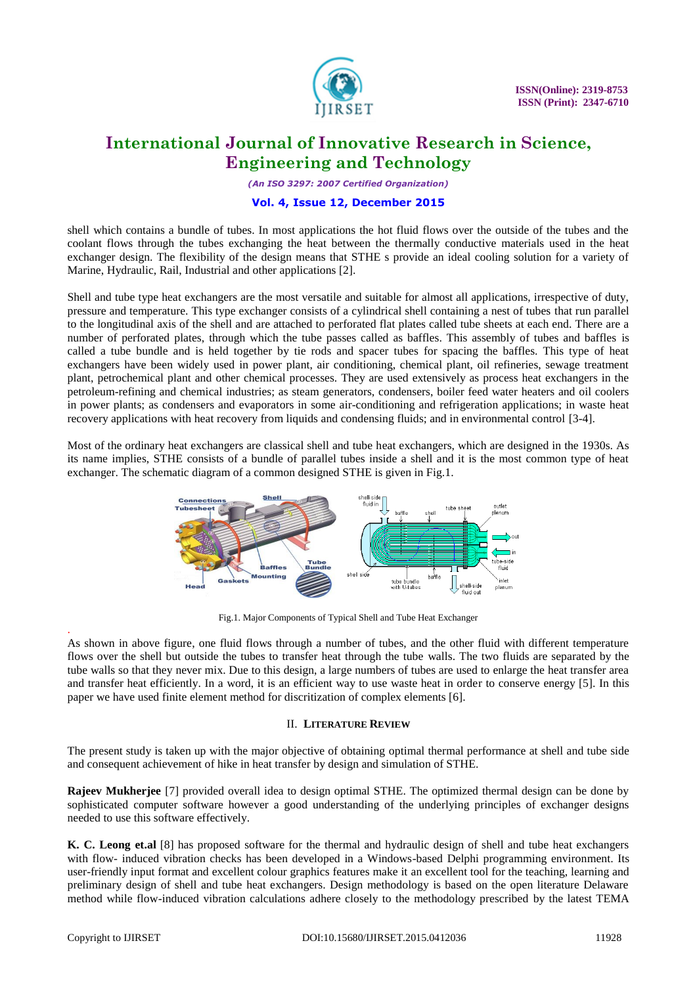

*(An ISO 3297: 2007 Certified Organization)*

### **Vol. 4, Issue 12, December 2015**

shell which contains a bundle of tubes. In most applications the hot fluid flows over the outside of the tubes and the coolant flows through the tubes exchanging the heat between the thermally conductive materials used in the heat exchanger design. The flexibility of the design means that STHE s provide an ideal cooling solution for a variety of Marine, Hydraulic, Rail, Industrial and other applications [2].

Shell and tube type heat exchangers are the most versatile and suitable for almost all applications, irrespective of duty, pressure and temperature. This type exchanger consists of a cylindrical shell containing a nest of tubes that run parallel to the longitudinal axis of the shell and are attached to perforated flat plates called tube sheets at each end. There are a number of perforated plates, through which the tube passes called as baffles. This assembly of tubes and baffles is called a tube bundle and is held together by tie rods and spacer tubes for spacing the baffles. This type of heat exchangers have been widely used in power plant, air conditioning, chemical plant, oil refineries, sewage treatment plant, petrochemical plant and other chemical processes. They are used extensively as process heat exchangers in the petroleum-refining and chemical industries; as steam generators, condensers, boiler feed water heaters and oil coolers in power plants; as condensers and evaporators in some air-conditioning and refrigeration applications; in waste heat recovery applications with heat recovery from liquids and condensing fluids; and in environmental control [3-4].

Most of the ordinary heat exchangers are classical shell and tube heat exchangers, which are designed in the 1930s. As its name implies, STHE consists of a bundle of parallel tubes inside a shell and it is the most common type of heat exchanger. The schematic diagram of a common designed STHE is given in Fig.1.



Fig.1. Major Components of Typical Shell and Tube Heat Exchanger

As shown in above figure, one fluid flows through a number of tubes, and the other fluid with different temperature flows over the shell but outside the tubes to transfer heat through the tube walls. The two fluids are separated by the tube walls so that they never mix. Due to this design, a large numbers of tubes are used to enlarge the heat transfer area and transfer heat efficiently. In a word, it is an efficient way to use waste heat in order to conserve energy [5]. In this paper we have used finite element method for discritization of complex elements [6].

## II. **LITERATURE REVIEW**

The present study is taken up with the major objective of obtaining optimal thermal performance at shell and tube side and consequent achievement of hike in heat transfer by design and simulation of STHE.

**Rajeev Mukherjee** [7] provided overall idea to design optimal STHE. The optimized thermal design can be done by sophisticated computer software however a good understanding of the underlying principles of exchanger designs needed to use this software effectively.

**K. C. Leong et.al** [8] has proposed software for the thermal and hydraulic design of shell and tube heat exchangers with flow- induced vibration checks has been developed in a Windows-based Delphi programming environment. Its user-friendly input format and excellent colour graphics features make it an excellent tool for the teaching, learning and preliminary design of shell and tube heat exchangers. Design methodology is based on the open literature Delaware method while flow-induced vibration calculations adhere closely to the methodology prescribed by the latest TEMA

.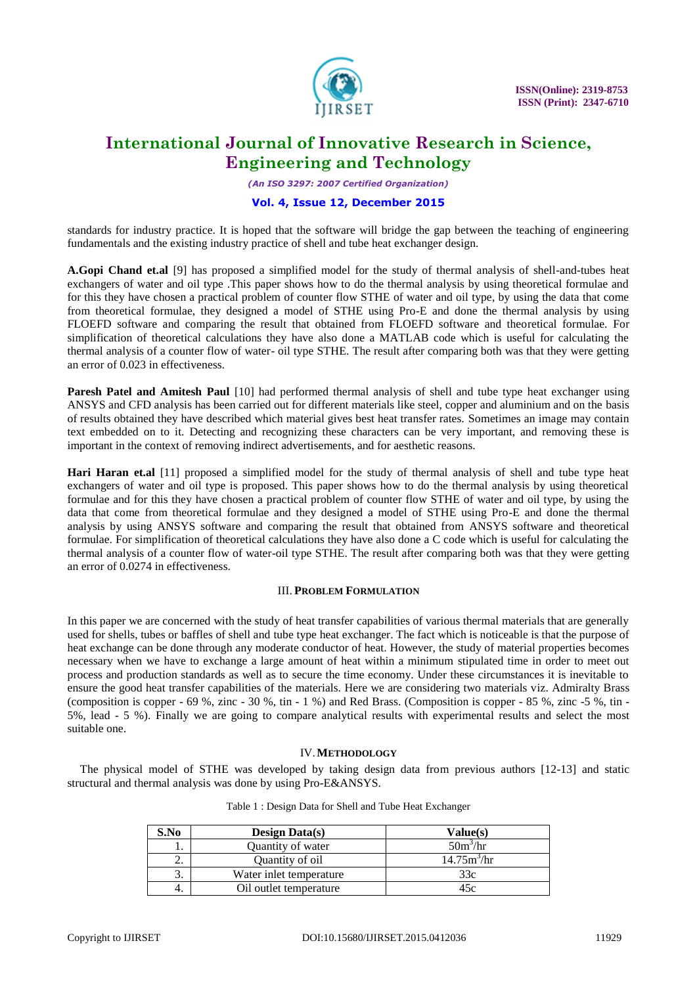

*(An ISO 3297: 2007 Certified Organization)*

# **Vol. 4, Issue 12, December 2015**

standards for industry practice. It is hoped that the software will bridge the gap between the teaching of engineering fundamentals and the existing industry practice of shell and tube heat exchanger design.

**A.Gopi Chand et.al** [9] has proposed a simplified model for the study of thermal analysis of shell-and-tubes heat exchangers of water and oil type .This paper shows how to do the thermal analysis by using theoretical formulae and for this they have chosen a practical problem of counter flow STHE of water and oil type, by using the data that come from theoretical formulae, they designed a model of STHE using Pro-E and done the thermal analysis by using FLOEFD software and comparing the result that obtained from FLOEFD software and theoretical formulae. For simplification of theoretical calculations they have also done a MATLAB code which is useful for calculating the thermal analysis of a counter flow of water- oil type STHE. The result after comparing both was that they were getting an error of 0.023 in effectiveness.

**Paresh Patel and Amitesh Paul** [10] had performed thermal analysis of shell and tube type heat exchanger using ANSYS and CFD analysis has been carried out for different materials like steel, copper and aluminium and on the basis of results obtained they have described which material gives best heat transfer rates. Sometimes an image may contain text embedded on to it. Detecting and recognizing these characters can be very important, and removing these is important in the context of removing indirect advertisements, and for aesthetic reasons.

**Hari Haran et.al** [11] proposed a simplified model for the study of thermal analysis of shell and tube type heat exchangers of water and oil type is proposed. This paper shows how to do the thermal analysis by using theoretical formulae and for this they have chosen a practical problem of counter flow STHE of water and oil type, by using the data that come from theoretical formulae and they designed a model of STHE using Pro-E and done the thermal analysis by using ANSYS software and comparing the result that obtained from ANSYS software and theoretical formulae. For simplification of theoretical calculations they have also done a C code which is useful for calculating the thermal analysis of a counter flow of water-oil type STHE. The result after comparing both was that they were getting an error of 0.0274 in effectiveness.

## III. **PROBLEM FORMULATION**

In this paper we are concerned with the study of heat transfer capabilities of various thermal materials that are generally used for shells, tubes or baffles of shell and tube type heat exchanger. The fact which is noticeable is that the purpose of heat exchange can be done through any moderate conductor of heat. However, the study of material properties becomes necessary when we have to exchange a large amount of heat within a minimum stipulated time in order to meet out process and production standards as well as to secure the time economy. Under these circumstances it is inevitable to ensure the good heat transfer capabilities of the materials. Here we are considering two materials viz. Admiralty Brass (composition is copper -  $69\%$ , zinc -  $30\%$ , tin -  $1\%$ ) and Red Brass. (Composition is copper -  $85\%$ , zinc - $5\%$ , tin -5%, lead - 5 %). Finally we are going to compare analytical results with experimental results and select the most suitable one.

## IV.**METHODOLOGY**

The physical model of STHE was developed by taking design data from previous authors [12-13] and static structural and thermal analysis was done by using Pro-E&ANSYS.

| S.No | Design Data $(s)$       | Value(s)                |
|------|-------------------------|-------------------------|
| ı.   | Quantity of water       | $50m^3/hr$              |
| ۷.   | Quantity of oil         | 14.75m <sup>3</sup> /hr |
| c.   | Water inlet temperature | 33c                     |
| 4.   | Oil outlet temperature  | 45c                     |

| Table 1: Design Data for Shell and Tube Heat Exchanger |  |
|--------------------------------------------------------|--|
|--------------------------------------------------------|--|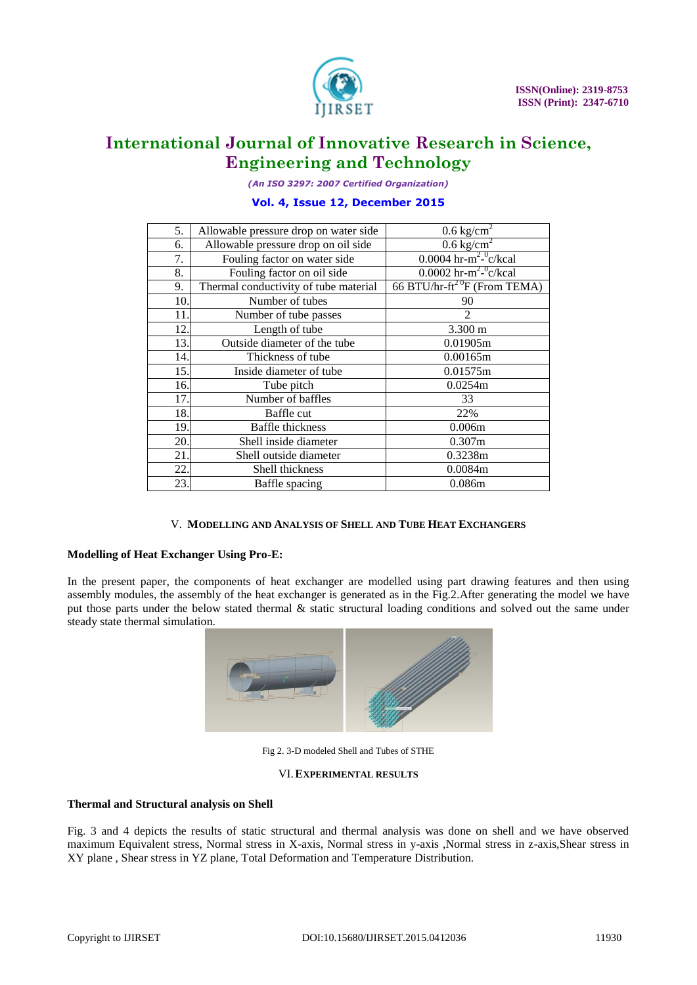

*(An ISO 3297: 2007 Certified Organization)*

# **Vol. 4, Issue 12, December 2015**

| 5.  | Allowable pressure drop on water side | $0.6 \text{ kg/cm}^2$                     |
|-----|---------------------------------------|-------------------------------------------|
| 6.  | Allowable pressure drop on oil side   | $0.6 \text{ kg/cm}^2$                     |
| 7.  | Fouling factor on water side          | 0.0004 hr-m <sup>2_0</sup> c/kcal         |
| 8.  | Fouling factor on oil side            | 0.0002 hr-m <sup>2_0</sup> c/kcal         |
| 9.  | Thermal conductivity of tube material | 66 BTU/hr-ft <sup>2 0</sup> F (From TEMA) |
| 10. | Number of tubes                       | 90                                        |
| 11. | Number of tube passes                 | 2                                         |
| 12. | Length of tube                        | $3.300 \text{ m}$                         |
| 13. | Outside diameter of the tube          | 0.01905m                                  |
| 14. | Thickness of tube                     | 0.00165m                                  |
| 15. | Inside diameter of tube               | 0.01575m                                  |
| 16. | Tube pitch                            | 0.0254m                                   |
| 17. | Number of baffles                     | 33                                        |
| 18. | Baffle cut                            | 22%                                       |
| 19. | <b>Baffle</b> thickness               | 0.006m                                    |
| 20. | Shell inside diameter                 | 0.307m                                    |
| 21. | Shell outside diameter                | 0.3238m                                   |
| 22. | Shell thickness                       | 0.0084m                                   |
| 23. | Baffle spacing                        | 0.086m                                    |

## V. **MODELLING AND ANALYSIS OF SHELL AND TUBE HEAT EXCHANGERS**

## **Modelling of Heat Exchanger Using Pro-E:**

In the present paper, the components of heat exchanger are modelled using part drawing features and then using assembly modules, the assembly of the heat exchanger is generated as in the Fig.2.After generating the model we have put those parts under the below stated thermal & static structural loading conditions and solved out the same under steady state thermal simulation.



Fig 2. 3-D modeled Shell and Tubes of STHE

# VI.**EXPERIMENTAL RESULTS**

#### **Thermal and Structural analysis on Shell**

Fig. 3 and 4 depicts the results of static structural and thermal analysis was done on shell and we have observed maximum Equivalent stress, Normal stress in X-axis, Normal stress in y-axis ,Normal stress in z-axis,Shear stress in XY plane , Shear stress in YZ plane, Total Deformation and Temperature Distribution.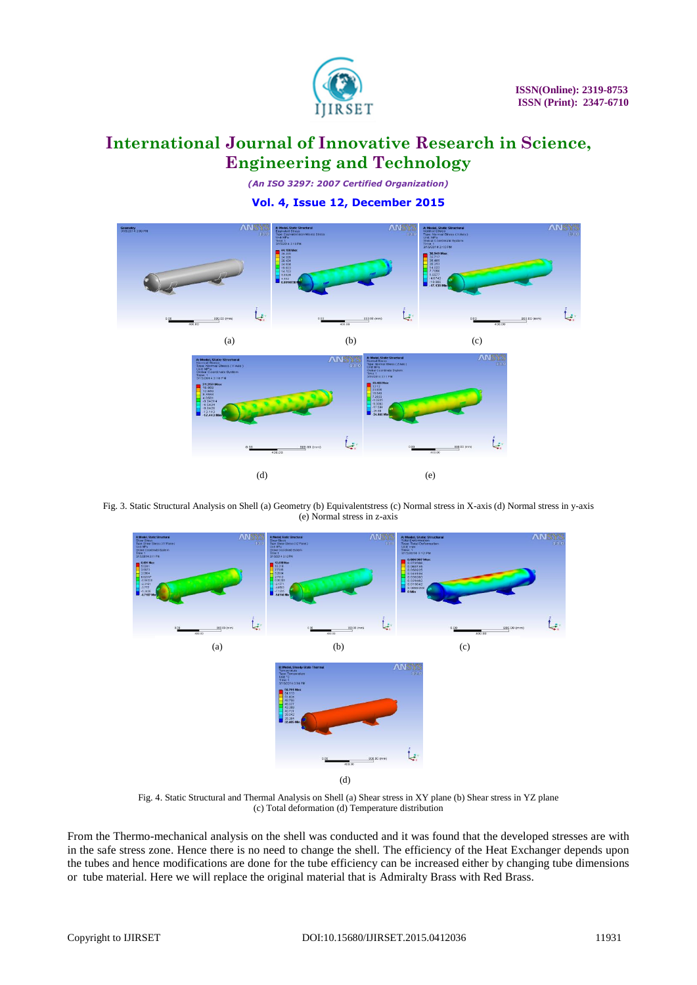

*(An ISO 3297: 2007 Certified Organization)*

**Vol. 4, Issue 12, December 2015**



Fig. 3. Static Structural Analysis on Shell (a) Geometry (b) Equivalentstress (c) Normal stress in X-axis (d) Normal stress in y-axis (e) Normal stress in z-axis



Fig. 4. Static Structural and Thermal Analysis on Shell (a) Shear stress in XY plane (b) Shear stress in YZ plane (c) Total deformation (d) Temperature distribution

From the Thermo-mechanical analysis on the shell was conducted and it was found that the developed stresses are with in the safe stress zone. Hence there is no need to change the shell. The efficiency of the Heat Exchanger depends upon the tubes and hence modifications are done for the tube efficiency can be increased either by changing tube dimensions or tube material. Here we will replace the original material that is Admiralty Brass with Red Brass.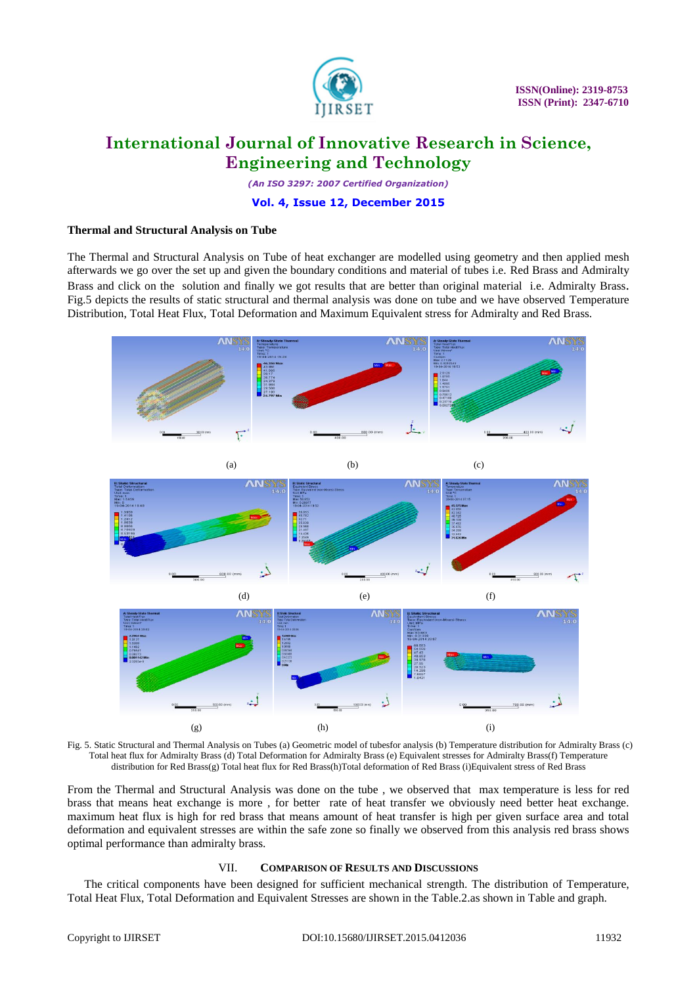

*(An ISO 3297: 2007 Certified Organization)*

### **Vol. 4, Issue 12, December 2015**

### **Thermal and Structural Analysis on Tube**

The Thermal and Structural Analysis on Tube of heat exchanger are modelled using geometry and then applied mesh afterwards we go over the set up and given the boundary conditions and material of tubes i.e. Red Brass and Admiralty Brass and click on the solution and finally we got results that are better than original material i.e. Admiralty Brass. Fig.5 depicts the results of static structural and thermal analysis was done on tube and we have observed Temperature Distribution, Total Heat Flux, Total Deformation and Maximum Equivalent stress for Admiralty and Red Brass.





(a)  $(b)$  (c)





Fig. 5. Static Structural and Thermal Analysis on Tubes (a) Geometric model of tubesfor analysis (b) Temperature distribution for Admiralty Brass (c) Total heat flux for Admiralty Brass (d) Total Deformation for Admiralty Brass (e) Equivalent stresses for Admiralty Brass(f) Temperature distribution for Red Brass(g) Total heat flux for Red Brass(h)Total deformation of Red Brass (i)Equivalent stress of Red Brass

From the Thermal and Structural Analysis was done on the tube , we observed that max temperature is less for red brass that means heat exchange is more , for better rate of heat transfer we obviously need better heat exchange. maximum heat flux is high for red brass that means amount of heat transfer is high per given surface area and total deformation and equivalent stresses are within the safe zone so finally we observed from this analysis red brass shows optimal performance than admiralty brass.

#### VII. **COMPARISON OF RESULTS AND DISCUSSIONS**

The critical components have been designed for sufficient mechanical strength. The distribution of Temperature, Total Heat Flux, Total Deformation and Equivalent Stresses are shown in the Table.2.as shown in Table and graph.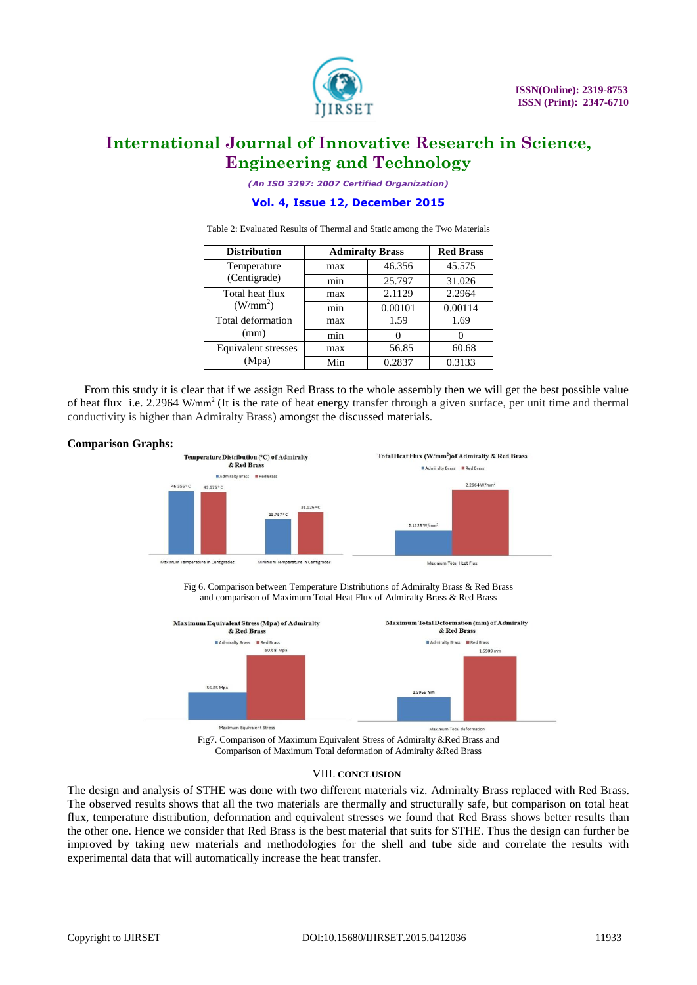

*(An ISO 3297: 2007 Certified Organization)*

## **Vol. 4, Issue 12, December 2015**

Table 2: Evaluated Results of Thermal and Static among the Two Materials

| <b>Distribution</b>  | <b>Admiralty Brass</b> | <b>Red Brass</b> |         |
|----------------------|------------------------|------------------|---------|
| Temperature          | max                    | 46.356           | 45.575  |
| (Centigrade)         | min                    | 25.797           | 31.026  |
| Total heat flux      | max                    | 2.1129           | 2.2964  |
| (W/mm <sup>2</sup> ) | min                    | 0.00101          | 0.00114 |
| Total deformation    | max                    | 1.59             | 1.69    |
| (mm)                 | min                    |                  |         |
| Equivalent stresses  | max                    | 56.85            | 60.68   |
| (Mpa)                | Min                    | 0.2837           | 0.3133  |

From this study it is clear that if we assign Red Brass to the whole assembly then we will get the best possible value of heat flux i.e. 2.2964 W/mm<sup>2</sup> (It is the rate of heat energy transfer through a given surface, per unit time and thermal conductivity is higher than Admiralty Brass) amongst the discussed materials.

### **Comparison Graphs:**



Fig 6. Comparison between Temperature Distributions of Admiralty Brass & Red Brass and comparison of Maximum Total Heat Flux of Admiralty Brass & Red Brass



Comparison of Maximum Total deformation of Admiralty &Red Brass

#### VIII. **CONCLUSION**

The design and analysis of STHE was done with two different materials viz. Admiralty Brass replaced with Red Brass. The observed results shows that all the two materials are thermally and structurally safe, but comparison on total heat flux, temperature distribution, deformation and equivalent stresses we found that Red Brass shows better results than the other one. Hence we consider that Red Brass is the best material that suits for STHE. Thus the design can further be improved by taking new materials and methodologies for the shell and tube side and correlate the results with experimental data that will automatically increase the heat transfer.